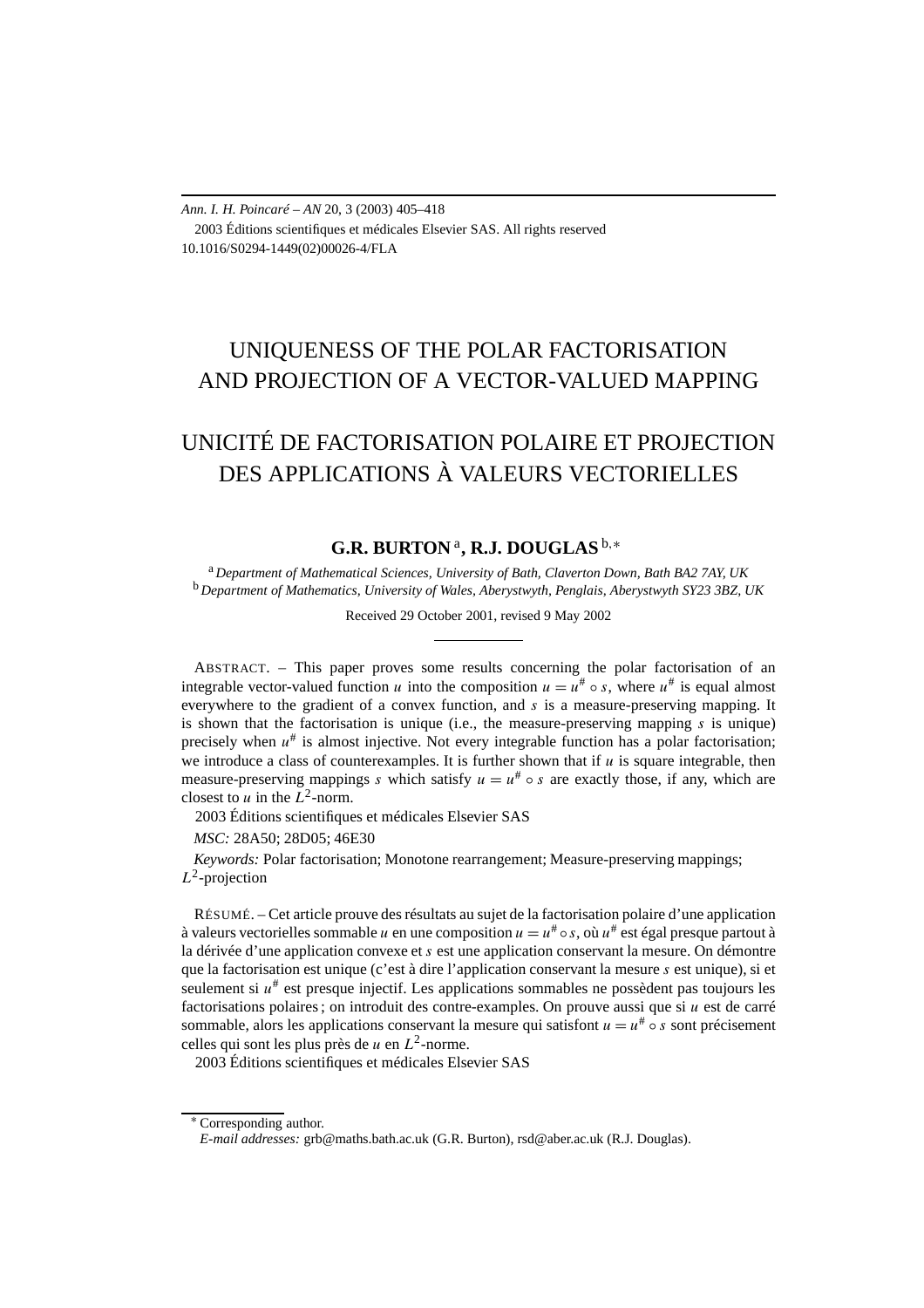*Ann. I. H. Poincaré – AN* 20, 3 (2003) 405–418 2003 Éditions scientifiques et médicales Elsevier SAS. All rights reserved 10.1016/S0294-1449(02)00026-4/FLA

# UNIQUENESS OF THE POLAR FACTORISATION AND PROJECTION OF A VECTOR-VALUED MAPPING

# UNICITÉ DE FACTORISATION POLAIRE ET PROJECTION DES APPLICATIONS À VALEURS VECTORIELLES

# **G.R. BURTON** <sup>a</sup>**, R.J. DOUGLAS** <sup>b</sup>*,*<sup>∗</sup>

<sup>a</sup> *Department of Mathematical Sciences, University of Bath, Claverton Down, Bath BA2 7AY, UK* <sup>b</sup> *Department of Mathematics, University of Wales, Aberystwyth, Penglais, Aberystwyth SY23 3BZ, UK*

Received 29 October 2001, revised 9 May 2002

ABSTRACT. – This paper proves some results concerning the polar factorisation of an integrable vector-valued function *u* into the composition  $u = u^* \circ s$ , where  $u^*$  is equal almost everywhere to the gradient of a convex function, and *s* is a measure-preserving mapping. It is shown that the factorisation is unique (i.e., the measure-preserving mapping  $\bar{s}$  is unique) precisely when  $u^*$  is almost injective. Not every integrable function has a polar factorisation; we introduce a class of counterexamples. It is further shown that if  $u$  is square integrable, then measure-preserving mappings *s* which satisfy  $u = u^* \circ s$  are exactly those, if any, which are closest to  $u$  in the  $L^2$ -norm.

2003 Éditions scientifiques et médicales Elsevier SAS

*MSC:* 28A50; 28D05; 46E30

*Keywords:* Polar factorisation; Monotone rearrangement; Measure-preserving mappings; *L*2-projection

RÉSUMÉ. – Cet article prouve des résultats au sujet de la factorisation polaire d'une application à valeurs vectorielles sommable *u* en une composition  $u = u^* \circ s$ , où  $u^*$  est égal presque partout à la dérivée d'une application convexe et *s* est une application conservant la mesure. On démontre que la factorisation est unique (c'est à dire l'application conservant la mesure *s* est unique), si et seulement si  $u^{\#}$  est presque injectif. Les applications sommables ne possèdent pas toujours les factorisations polaires ; on introduit des contre-examples. On prouve aussi que si *u* est de carré sommable, alors les applications conservant la mesure qui satisfont  $u = u^* \circ s$  sont précisement celles qui sont les plus près de  $u$  en  $L^2$ -norme.

2003 Éditions scientifiques et médicales Elsevier SAS

<sup>∗</sup> Corresponding author.

*E-mail addresses:* grb@maths.bath.ac.uk (G.R. Burton), rsd@aber.ac.uk (R.J. Douglas).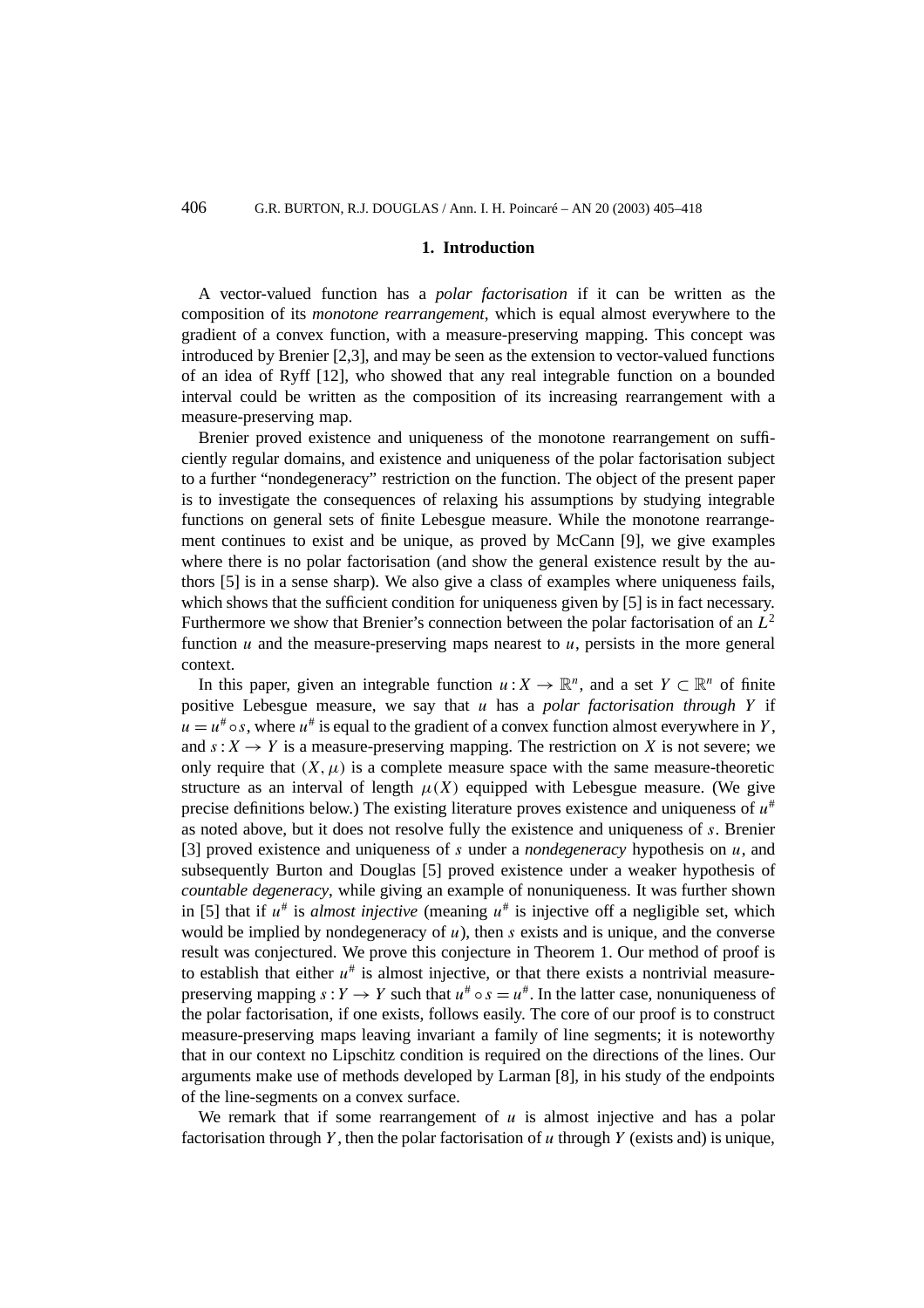#### **1. Introduction**

A vector-valued function has a *polar factorisation* if it can be written as the composition of its *monotone rearrangement*, which is equal almost everywhere to the gradient of a convex function, with a measure-preserving mapping. This concept was introduced by Brenier [2,3], and may be seen as the extension to vector-valued functions of an idea of Ryff [12], who showed that any real integrable function on a bounded interval could be written as the composition of its increasing rearrangement with a measure-preserving map.

Brenier proved existence and uniqueness of the monotone rearrangement on sufficiently regular domains, and existence and uniqueness of the polar factorisation subject to a further "nondegeneracy" restriction on the function. The object of the present paper is to investigate the consequences of relaxing his assumptions by studying integrable functions on general sets of finite Lebesgue measure. While the monotone rearrangement continues to exist and be unique, as proved by McCann [9], we give examples where there is no polar factorisation (and show the general existence result by the authors [5] is in a sense sharp). We also give a class of examples where uniqueness fails, which shows that the sufficient condition for uniqueness given by [5] is in fact necessary. Furthermore we show that Brenier's connection between the polar factorisation of an *L*<sup>2</sup> function *u* and the measure-preserving maps nearest to *u*, persists in the more general context.

In this paper, given an integrable function  $u: X \to \mathbb{R}^n$ , and a set  $Y \subset \mathbb{R}^n$  of finite positive Lebesgue measure, we say that *u* has a *polar factorisation through Y* if  $u = u^{\#} \circ s$ , where  $u^{\#}$  is equal to the gradient of a convex function almost everywhere in *Y*, and  $s: X \to Y$  is a measure-preserving mapping. The restriction on *X* is not severe; we only require that  $(X, \mu)$  is a complete measure space with the same measure-theoretic structure as an interval of length  $\mu(X)$  equipped with Lebesgue measure. (We give precise definitions below.) The existing literature proves existence and uniqueness of *u*# as noted above, but it does not resolve fully the existence and uniqueness of *s*. Brenier [3] proved existence and uniqueness of *s* under a *nondegeneracy* hypothesis on *u*, and subsequently Burton and Douglas [5] proved existence under a weaker hypothesis of *countable degeneracy*, while giving an example of nonuniqueness. It was further shown in [5] that if  $u^*$  is *almost injective* (meaning  $u^*$  is injective off a negligible set, which would be implied by nondegeneracy of  $u$ ), then  $s$  exists and is unique, and the converse result was conjectured. We prove this conjecture in Theorem 1. Our method of proof is to establish that either  $u^*$  is almost injective, or that there exists a nontrivial measurepreserving mapping  $s: Y \to Y$  such that  $u^* \circ s = u^*$ . In the latter case, nonuniqueness of the polar factorisation, if one exists, follows easily. The core of our proof is to construct measure-preserving maps leaving invariant a family of line segments; it is noteworthy that in our context no Lipschitz condition is required on the directions of the lines. Our arguments make use of methods developed by Larman [8], in his study of the endpoints of the line-segments on a convex surface.

We remark that if some rearrangement of  $u$  is almost injective and has a polar factorisation through *Y* , then the polar factorisation of *u* through *Y* (exists and) is unique,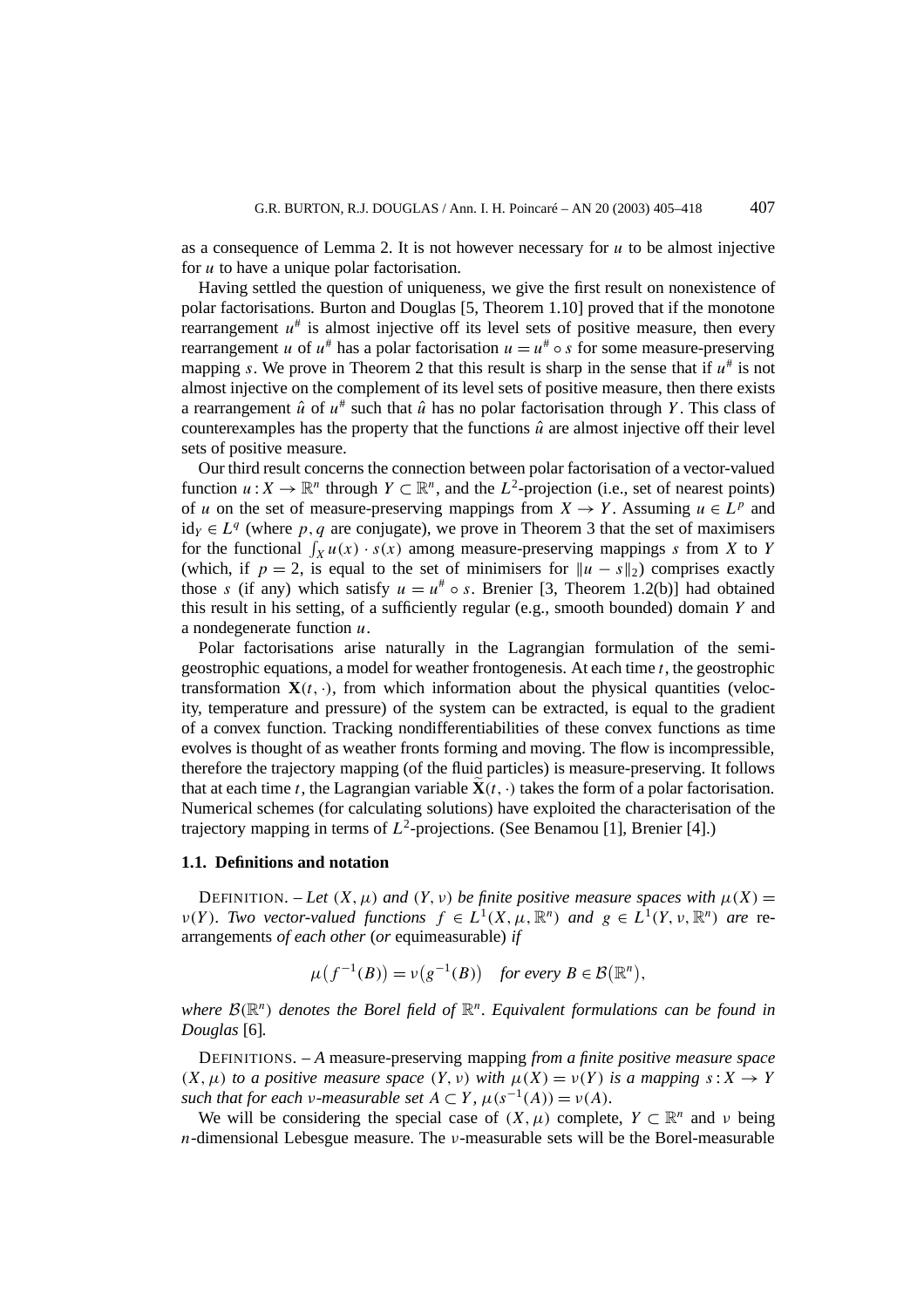as a consequence of Lemma 2. It is not however necessary for *u* to be almost injective for *u* to have a unique polar factorisation.

Having settled the question of uniqueness, we give the first result on nonexistence of polar factorisations. Burton and Douglas [5, Theorem 1.10] proved that if the monotone rearrangement  $u^*$  is almost injective off its level sets of positive measure, then every rearrangement *u* of  $u^*$  has a polar factorisation  $u = u^* \circ s$  for some measure-preserving mapping *s*. We prove in Theorem 2 that this result is sharp in the sense that if  $u^*$  is not almost injective on the complement of its level sets of positive measure, then there exists a rearrangement  $\hat{u}$  of  $u^*$  such that  $\hat{u}$  has no polar factorisation through *Y*. This class of counterexamples has the property that the functions  $\hat{u}$  are almost injective off their level sets of positive measure.

Our third result concerns the connection between polar factorisation of a vector-valued function  $u: X \to \mathbb{R}^n$  through  $Y \subset \mathbb{R}^n$ , and the  $L^2$ -projection (i.e., set of nearest points) of *u* on the set of measure-preserving mappings from  $X \to Y$ . Assuming  $u \in L^p$  and id<sub>*Y*</sub> ∈  $L<sup>q</sup>$  (where *p*, *q* are conjugate), we prove in Theorem 3 that the set of maximisers for the functional  $\int_X u(x) \cdot s(x)$  among measure-preserving mappings *s* from *X* to *Y* (which, if  $p = 2$ , is equal to the set of minimisers for  $\|u - s\|_2$ ) comprises exactly those *s* (if any) which satisfy  $u = u^* \circ s$ . Brenier [3, Theorem 1.2(b)] had obtained this result in his setting, of a sufficiently regular (e.g., smooth bounded) domain *Y* and a nondegenerate function *u*.

Polar factorisations arise naturally in the Lagrangian formulation of the semigeostrophic equations, a model for weather frontogenesis. At each time *t*, the geostrophic transformation  $\mathbf{X}(t, \cdot)$ , from which information about the physical quantities (velocity, temperature and pressure) of the system can be extracted, is equal to the gradient of a convex function. Tracking nondifferentiabilities of these convex functions as time evolves is thought of as weather fronts forming and moving. The flow is incompressible, therefore the trajectory mapping (of the fluid particles) is measure-preserving. It follows that at each time *t*, the Lagrangian variable  $\mathbf{X}(t, \cdot)$  takes the form of a polar factorisation. Numerical schemes (for calculating solutions) have exploited the characterisation of the trajectory mapping in terms of  $L^2$ -projections. (See Benamou [1], Brenier [4].)

## **1.1. Definitions and notation**

DEFINITION. – Let  $(X, \mu)$  and  $(Y, \nu)$  be finite positive measure spaces with  $\mu(X)$  = *v(Y). Two vector-valued functions*  $f \in L^1(X, \mu, \mathbb{R}^n)$  *and*  $g \in L^1(Y, \nu, \mathbb{R}^n)$  *are* rearrangements *of each other* (*or* equimeasurable) *if*

$$
\mu(f^{-1}(B)) = \nu(g^{-1}(B)) \quad \text{for every } B \in \mathcal{B}(\mathbb{R}^n),
$$

*where* <sup>B</sup>*(*R*n) denotes the Borel field of* <sup>R</sup>*<sup>n</sup>. Equivalent formulations can be found in Douglas* [6]*.*

DEFINITIONS. – *A* measure-preserving mapping *from a finite positive measure space*  $(X, \mu)$  *to a positive measure space*  $(Y, \nu)$  *with*  $\mu(X) = \nu(Y)$  *is a mapping*  $s: X \rightarrow Y$ *such that for each ν-measurable set*  $A \subset Y$ ,  $\mu(s^{-1}(A)) = \nu(A)$ *.* 

We will be considering the special case of  $(X, \mu)$  complete,  $Y \subset \mathbb{R}^n$  and  $\nu$  being *n*-dimensional Lebesgue measure. The *ν*-measurable sets will be the Borel-measurable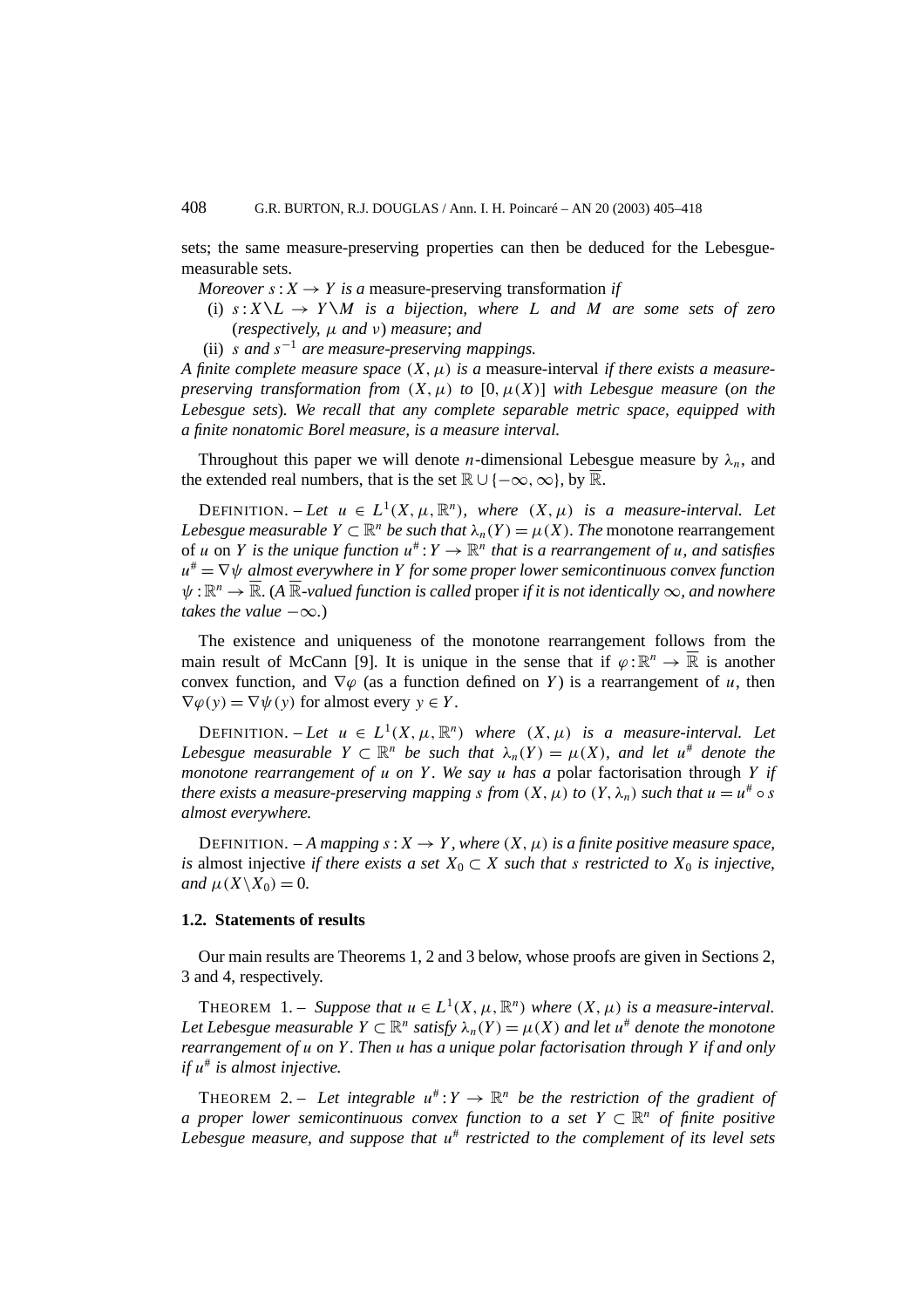sets; the same measure-preserving properties can then be deduced for the Lebesguemeasurable sets.

- *Moreover*  $s: X \rightarrow Y$  *is a* measure-preserving transformation *if* 
	- (i)  $s: X \setminus L \rightarrow Y \setminus M$  *is a bijection, where L and M are some sets of zero* (*respectively, µ and ν*) *measure*; *and*
- (ii) *s and s*<sup>−</sup><sup>1</sup> *are measure-preserving mappings.*

*A finite complete measure space (X, µ) is a* measure-interval *if there exists a measurepreserving transformation from*  $(X, \mu)$  *to*  $[0, \mu(X)]$  *with Lebesgue measure* (*on the Lebesgue sets*)*. We recall that any complete separable metric space, equipped with a finite nonatomic Borel measure, is a measure interval.*

Throughout this paper we will denote *n*-dimensional Lebesgue measure by  $\lambda_n$ , and the extended real numbers, that is the set  $\mathbb{R} \cup \{-\infty, \infty\}$ , by  $\overline{\mathbb{R}}$ .

DEFINITION. – Let  $u \in L^1(X, \mu, \mathbb{R}^n)$ , where  $(X, \mu)$  is a measure-interval. Let *Lebesgue measurable*  $Y \subset \mathbb{R}^n$  *be such that*  $\lambda_n(Y) = \mu(X)$ *. The* monotone rearrangement of *u* on *Y* is the unique function  $u^*: Y \to \mathbb{R}^n$  that is a rearrangement of *u*, and satisfies *u*# = ∇*ψ almost everywhere in Y for some proper lower semicontinuous convex function*  $\psi: \mathbb{R}^n \to \overline{\mathbb{R}}$ . (A  $\overline{\mathbb{R}}$ -valued function is called proper *if it is not identically*  $\infty$ *, and nowhere takes the value*  $-\infty$ *.*)

The existence and uniqueness of the monotone rearrangement follows from the main result of McCann [9]. It is unique in the sense that if  $\varphi : \mathbb{R}^n \to \overline{\mathbb{R}}$  is another convex function, and  $\nabla \varphi$  (as a function defined on *Y*) is a rearrangement of *u*, then  $\nabla \varphi(y) = \nabla \psi(y)$  for almost every  $y \in Y$ .

DEFINITION. – Let  $u \in L^1(X, \mu, \mathbb{R}^n)$  where  $(X, \mu)$  is a measure-interval. Let *Lebesgue measurable*  $Y \subset \mathbb{R}^n$  *be such that*  $\lambda_n(Y) = \mu(X)$ *, and let*  $u^*$  *denote the monotone rearrangement of u on Y . We say u has a* polar factorisation through *Y if there exists a measure-preserving mapping <i>s from*  $(X, \mu)$  *to*  $(Y, \lambda_n)$  *such that*  $u = u^* \circ s$ *almost everywhere.*

DEFINITION. – A mapping  $s: X \to Y$ , where  $(X, \mu)$  is a finite positive measure space, *is* almost injective *if there exists a set*  $X_0 \subset X$  *such that s restricted to*  $X_0$  *is injective, and*  $\mu$ (*X* $\setminus$ *X*<sub>0</sub> $) = 0$ *.* 

#### **1.2. Statements of results**

Our main results are Theorems 1, 2 and 3 below, whose proofs are given in Sections 2, 3 and 4, respectively.

THEOREM 1. – *Suppose that*  $u \in L^1(X, \mu, \mathbb{R}^n)$  *where*  $(X, \mu)$  *is a measure-interval. Let Lebesgue measurable*  $Y \subset \mathbb{R}^n$  *satisfy*  $\lambda_n(Y) = \mu(X)$  *and let*  $u^*$  *denote the monotone rearrangement of u on Y . Then u has a unique polar factorisation through Y if and only if u*# *is almost injective.*

THEOREM 2. – Let integrable  $u^*: Y \to \mathbb{R}^n$  be the restriction of the gradient of *a proper lower semicontinuous convex function to a set*  $Y \subset \mathbb{R}^n$  *of finite positive Lebesgue measure, and suppose that u*# *restricted to the complement of its level sets*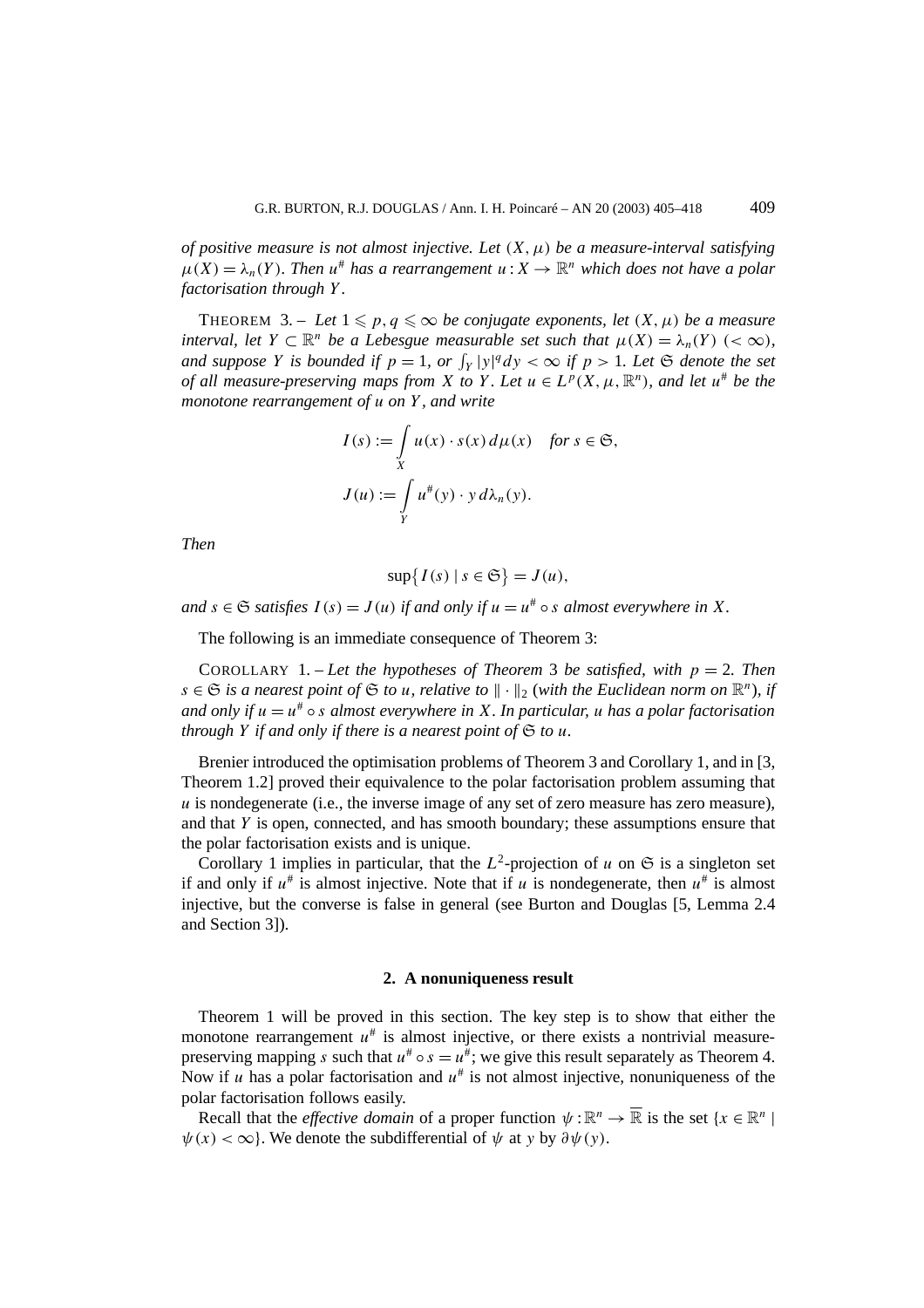*of positive measure is not almost injective. Let (X, µ) be a measure-interval satisfying*  $\mu(X) = \lambda_n(Y)$ *. Then*  $u^*$  has a rearrangement  $u: X \to \mathbb{R}^n$  which does not have a polar *factorisation through Y .*

THEOREM 3. – Let  $1 \leqslant p, q \leqslant \infty$  be conjugate exponents, let  $(X, \mu)$  be a measure *interval, let*  $Y \subset \mathbb{R}^n$  *be a Lebesgue measurable set such that*  $\mu(X) = \lambda_n(Y)$  (<  $\infty$ ), *and suppose Y is bounded if*  $p = 1$ *, or*  $\int_Y |y|^q dy < \infty$  *if*  $p > 1$ *. Let*  $\mathfrak{S}$  *denote the set of all measure-preserving maps from X to Y*. Let  $u \in L^p(X, \mu, \mathbb{R}^n)$ , and let  $u^*$  be the *monotone rearrangement of u on Y , and write*

$$
I(s) := \int_{X} u(x) \cdot s(x) d\mu(x) \text{ for } s \in \mathfrak{S},
$$
  

$$
J(u) := \int_{Y} u^*(y) \cdot y d\lambda_n(y).
$$

*Then*

$$
\sup\{I(s) \mid s \in \mathfrak{S}\} = J(u),
$$

*and*  $s \in \mathfrak{S}$  *satisfies*  $I(s) = J(u)$  *if and only if*  $u = u^* \circ s$  *almost everywhere in*  $X$ *.* 

The following is an immediate consequence of Theorem 3:

COROLLARY 1. – *Let the hypotheses of Theorem* 3 *be satisfied, with p* = 2*. Then s* ∈  $\mathfrak{S}$  *is a nearest point of*  $\mathfrak{S}$  *to u, relative to*  $\|\cdot\|_2$  (*with the Euclidean norm on*  $\mathbb{R}^n$ *), if and only if*  $u = u^* \circ s$  *almost everywhere in X. In particular, u has a polar factorisation through*  $Y$  *if and only if there is a nearest point of*  $G$  *to*  $u$ *.* 

Brenier introduced the optimisation problems of Theorem 3 and Corollary 1, and in [3, Theorem 1.2] proved their equivalence to the polar factorisation problem assuming that *u* is nondegenerate (i.e., the inverse image of any set of zero measure has zero measure), and that *Y* is open, connected, and has smooth boundary; these assumptions ensure that the polar factorisation exists and is unique.

Corollary 1 implies in particular, that the  $L^2$ -projection of *u* on  $\mathfrak{S}$  is a singleton set if and only if  $u^*$  is almost injective. Note that if *u* is nondegenerate, then  $u^*$  is almost injective, but the converse is false in general (see Burton and Douglas [5, Lemma 2.4 and Section 3]).

#### **2. A nonuniqueness result**

Theorem 1 will be proved in this section. The key step is to show that either the monotone rearrangement  $u^*$  is almost injective, or there exists a nontrivial measurepreserving mapping *s* such that  $u^* \circ s = u^*$ ; we give this result separately as Theorem 4. Now if *u* has a polar factorisation and  $u^{\#}$  is not almost injective, nonuniqueness of the polar factorisation follows easily.

Recall that the *effective domain* of a proper function  $\psi : \mathbb{R}^n \to \overline{\mathbb{R}}$  is the set  $\{x \in \mathbb{R}^n \mid \mathbb{R}^n\}$  $\psi(x) < \infty$ . We denote the subdifferential of  $\psi$  at *y* by  $\partial \psi(y)$ .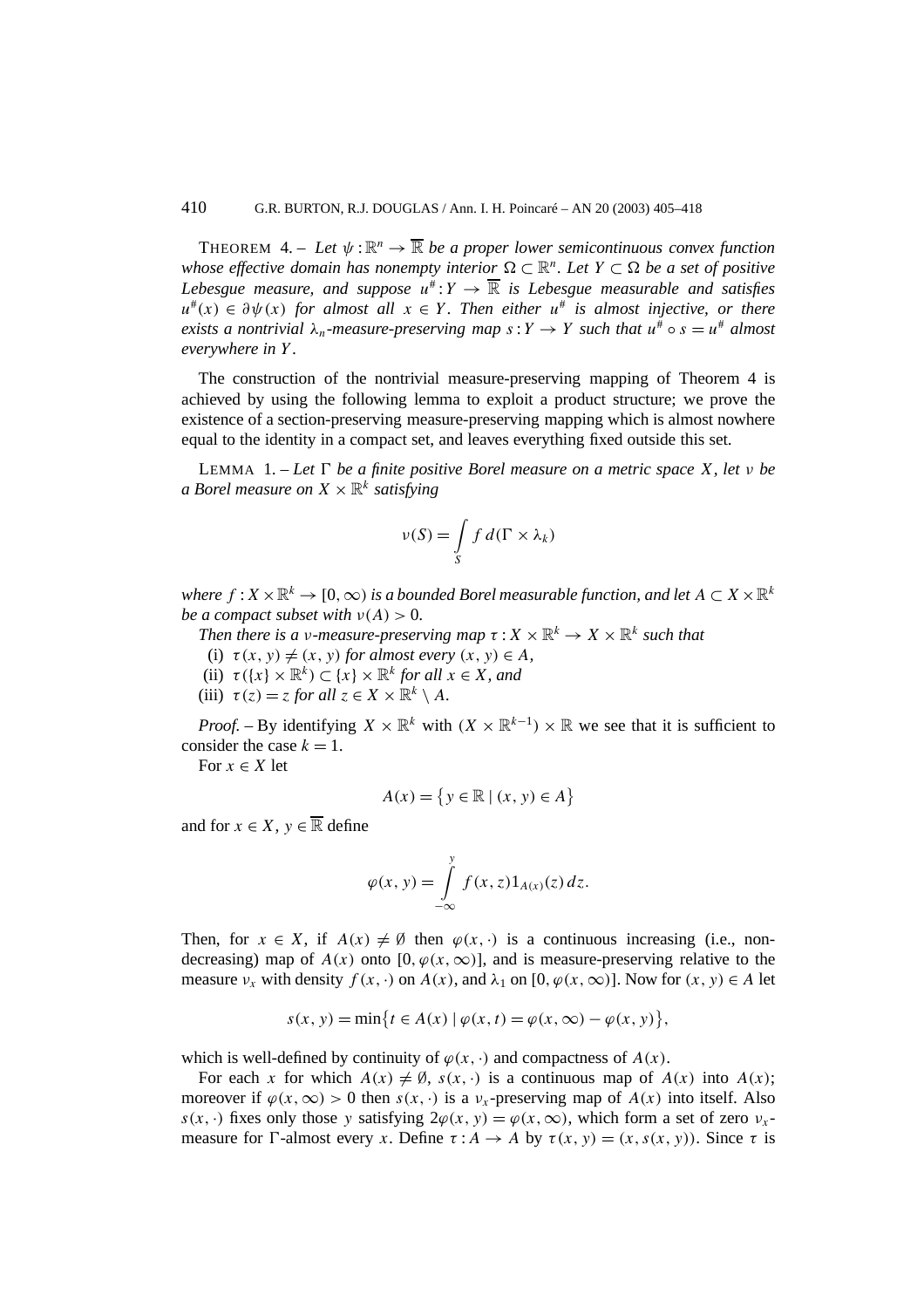THEOREM 4. – Let  $\psi: \mathbb{R}^n \to \overline{\mathbb{R}}$  be a proper lower semicontinuous convex function *whose effective domain has nonempty interior*  $\Omega \subset \mathbb{R}^n$ . Let  $Y \subset \Omega$  be a set of positive *Lebesgue measure, and suppose*  $u^*: Y \to \overline{\mathbb{R}}$  *is Lebesgue measurable and satisfies*  $u^*(x) \in \partial \psi(x)$  *for almost all*  $x \in Y$ . Then either  $u^*$  *is almost injective, or there exists a nontrivial*  $\lambda_n$ -measure-preserving map  $s: Y \to Y$  such that  $u^{\#} \circ s = u^{\#}$  almost *everywhere in Y .*

The construction of the nontrivial measure-preserving mapping of Theorem 4 is achieved by using the following lemma to exploit a product structure; we prove the existence of a section-preserving measure-preserving mapping which is almost nowhere equal to the identity in a compact set, and leaves everything fixed outside this set.

**LEMMA** 1. – Let  $\Gamma$  be a finite positive Borel measure on a metric space X, let  $\nu$  be *a Borel measure on*  $X \times \mathbb{R}^k$  *satisfying* 

$$
\nu(S) = \int\limits_{S} f \, d(\Gamma \times \lambda_k)
$$

*where*  $f: X \times \mathbb{R}^k \to [0, \infty)$  *is a bounded Borel measurable function, and let*  $A \subset X \times \mathbb{R}^k$ *be a compact subset with*  $v(A) > 0$ .

*Then there is a v-measure-preserving map*  $\tau : X \times \mathbb{R}^k \to X \times \mathbb{R}^k$  *such that* 

- (i)  $\tau(x, y) \neq (x, y)$  *for almost every*  $(x, y) \in A$ *,*
- (ii)  $\tau({x} \times \mathbb{R}^k) \subset {x} \times \mathbb{R}^k$  *for all*  $x \in X$ *, and*
- (iii)  $\tau(z) = z$  *for all*  $z \in X \times \mathbb{R}^k \setminus A$ *.*

*Proof.* – By identifying  $X \times \mathbb{R}^k$  with  $(X \times \mathbb{R}^{k-1}) \times \mathbb{R}$  we see that it is sufficient to consider the case  $k = 1$ .

For  $x \in X$  let

$$
A(x) = \{ y \in \mathbb{R} \mid (x, y) \in A \}
$$

and for  $x \in X$ ,  $y \in \overline{\mathbb{R}}$  define

$$
\varphi(x, y) = \int\limits_{-\infty}^{y} f(x, z) 1_{A(x)}(z) dz.
$$

Then, for  $x \in X$ , if  $A(x) \neq \emptyset$  then  $\varphi(x, \cdot)$  is a continuous increasing (i.e., nondecreasing) map of  $A(x)$  onto [0*,*  $\varphi(x, \infty)$ ], and is measure-preserving relative to the measure  $v_x$  with density  $f(x, \cdot)$  on  $A(x)$ , and  $\lambda_1$  on  $[0, \varphi(x, \infty)]$ . Now for  $(x, y) \in A$  let

$$
s(x, y) = \min\{t \in A(x) \mid \varphi(x, t) = \varphi(x, \infty) - \varphi(x, y)\},\
$$

which is well-defined by continuity of  $\varphi(x, \cdot)$  and compactness of  $A(x)$ .

For each *x* for which  $A(x) \neq \emptyset$ ,  $s(x, \cdot)$  is a continuous map of  $A(x)$  into  $A(x)$ ; moreover if  $\varphi(x, \infty) > 0$  then  $s(x, \cdot)$  is a  $v_x$ -preserving map of  $A(x)$  into itself. Also  $s(x, \cdot)$  fixes only those *y* satisfying  $2\varphi(x, y) = \varphi(x, \infty)$ , which form a set of zero  $v_x$ measure for *I*-almost every *x*. Define  $\tau : A \to A$  by  $\tau(x, y) = (x, s(x, y))$ . Since  $\tau$  is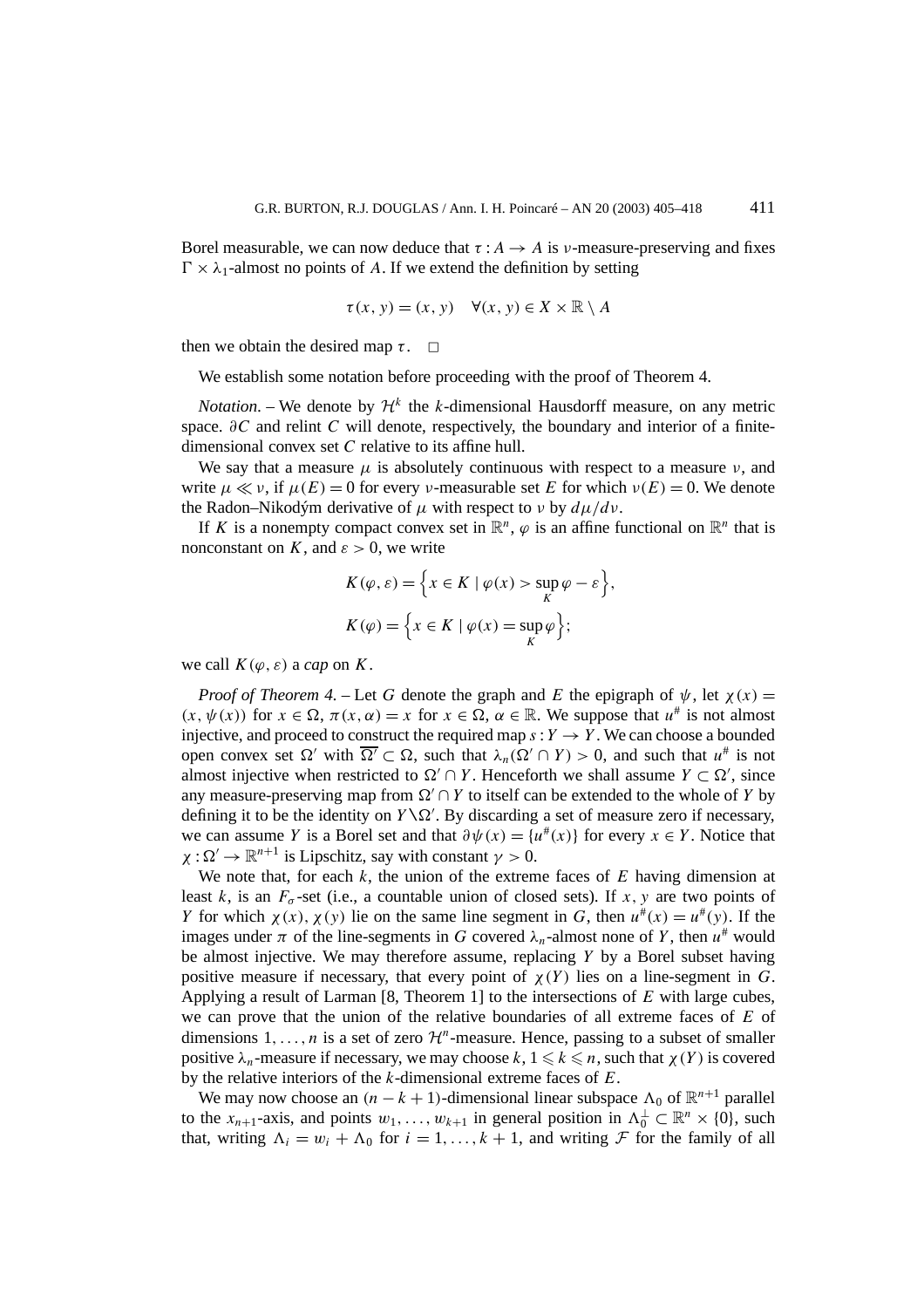Borel measurable, we can now deduce that  $\tau : A \rightarrow A$  is *v*-measure-preserving and fixes  $\Gamma \times \lambda_1$ -almost no points of *A*. If we extend the definition by setting

$$
\tau(x, y) = (x, y) \quad \forall (x, y) \in X \times \mathbb{R} \setminus A
$$

then we obtain the desired map  $\tau$ .  $\Box$ 

We establish some notation before proceeding with the proof of Theorem 4.

*Notation*. – We denote by  $\mathcal{H}^k$  the *k*-dimensional Hausdorff measure, on any metric space. *∂C* and relint *C* will denote, respectively, the boundary and interior of a finitedimensional convex set *C* relative to its affine hull.

We say that a measure  $\mu$  is absolutely continuous with respect to a measure  $\nu$ , and write  $\mu \ll \nu$ , if  $\mu(E) = 0$  for every *ν*-measurable set *E* for which  $\nu(E) = 0$ . We denote the Radon–Nikodým derivative of *µ* with respect to *ν* by *dµ/dν*.

If *K* is a nonempty compact convex set in  $\mathbb{R}^n$ ,  $\varphi$  is an affine functional on  $\mathbb{R}^n$  that is nonconstant on *K*, and  $\varepsilon > 0$ , we write

$$
K(\varphi, \varepsilon) = \left\{ x \in K \mid \varphi(x) > \sup_{K} \varphi - \varepsilon \right\},\,
$$
  

$$
K(\varphi) = \left\{ x \in K \mid \varphi(x) = \sup_{K} \varphi \right\};
$$

we call  $K(\varphi, \varepsilon)$  a *cap* on *K*.

*Proof of Theorem 4.* – Let *G* denote the graph and *E* the epigraph of  $\psi$ , let  $\chi(x) =$  $(x, \psi(x))$  for  $x \in \Omega$ ,  $\pi(x, \alpha) = x$  for  $x \in \Omega$ ,  $\alpha \in \mathbb{R}$ . We suppose that  $u^{\#}$  is not almost injective, and proceed to construct the required map  $s: Y \to Y$ . We can choose a bounded open convex set  $\Omega'$  with  $\overline{\Omega'} \subset \Omega$ , such that  $\lambda_n(\Omega' \cap Y) > 0$ , and such that  $u^{\#}$  is not almost injective when restricted to  $\Omega' \cap Y$ . Henceforth we shall assume  $Y \subset \Omega'$ , since any measure-preserving map from  $\Omega' \cap Y$  to itself can be extended to the whole of *Y* by defining it to be the identity on  $Y \setminus \Omega'$ . By discarding a set of measure zero if necessary, we can assume *Y* is a Borel set and that  $\partial \psi(x) = \{u^*(x)\}\$ for every  $x \in Y$ . Notice that  $\chi : \Omega' \to \mathbb{R}^{n+1}$  is Lipschitz, say with constant  $\gamma > 0$ .

We note that, for each *k*, the union of the extreme faces of *E* having dimension at least *k*, is an  $F_{\sigma}$ -set (i.e., a countable union of closed sets). If *x*, *y* are two points of *Y* for which  $\chi(x)$ ,  $\chi(y)$  lie on the same line segment in *G*, then  $u^*(x) = u^*(y)$ . If the images under  $\pi$  of the line-segments in *G* covered  $\lambda_n$ -almost none of *Y*, then  $u^*$  would be almost injective. We may therefore assume, replacing *Y* by a Borel subset having positive measure if necessary, that every point of  $\chi(Y)$  lies on a line-segment in *G*. Applying a result of Larman [8, Theorem 1] to the intersections of *E* with large cubes, we can prove that the union of the relative boundaries of all extreme faces of *E* of dimensions  $1, \ldots, n$  is a set of zero  $\mathcal{H}^n$ -measure. Hence, passing to a subset of smaller positive  $\lambda_n$ -measure if necessary, we may choose  $k, 1 \leq k \leq n$ , such that  $\chi(Y)$  is covered by the relative interiors of the *k*-dimensional extreme faces of *E*.

We may now choose an  $(n - k + 1)$ -dimensional linear subspace  $\Lambda_0$  of  $\mathbb{R}^{n+1}$  parallel to the  $x_{n+1}$ -axis, and points  $w_1, \ldots, w_{k+1}$  in general position in  $\Lambda_0^{\perp} \subset \mathbb{R}^n \times \{0\}$ , such that, writing  $\Lambda_i = w_i + \Lambda_0$  for  $i = 1, \ldots, k + 1$ , and writing  $\mathcal F$  for the family of all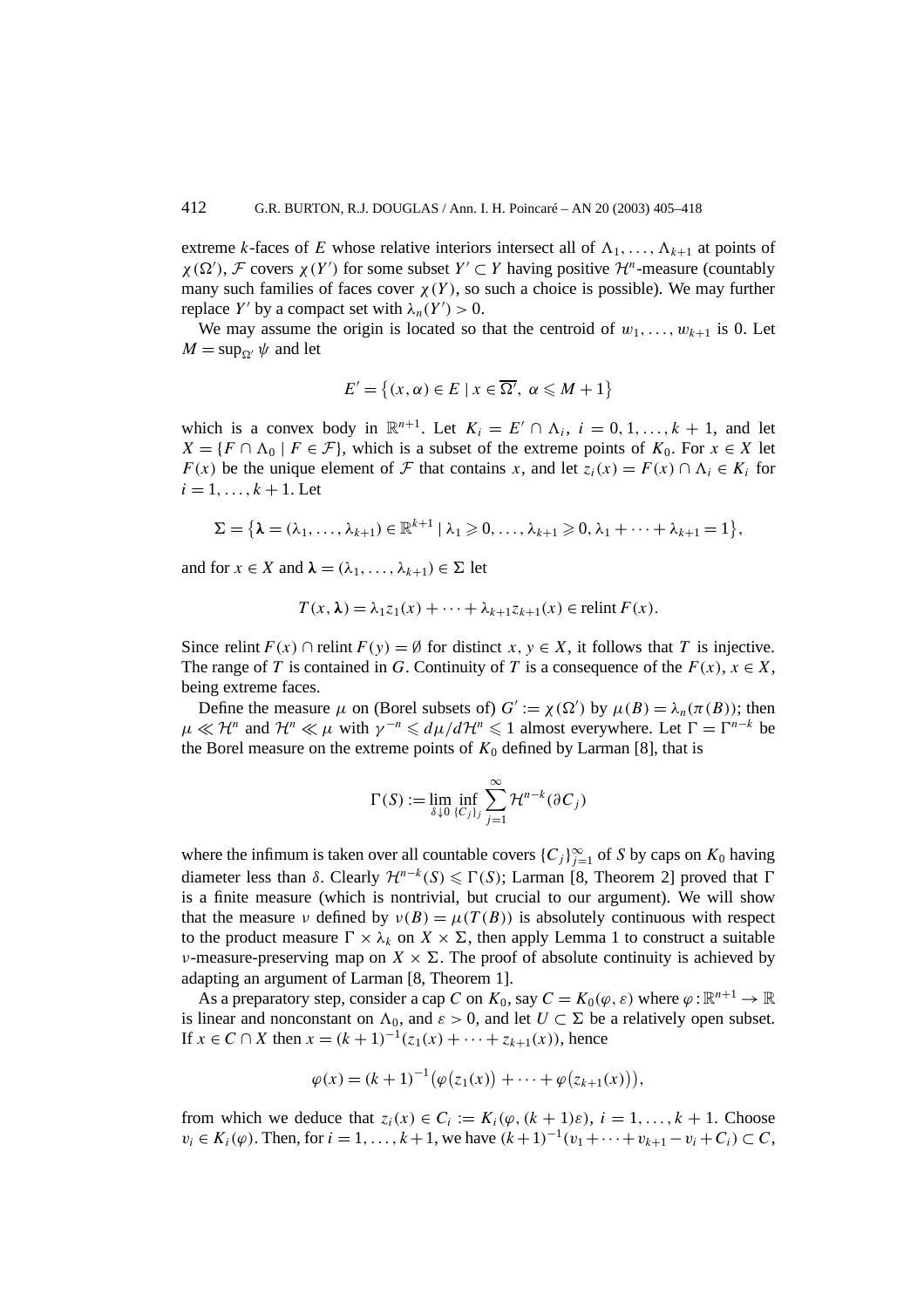extreme *k*-faces of *E* whose relative interiors intersect all of  $\Lambda_1, \ldots, \Lambda_{k+1}$  at points of  $\chi(\Omega')$ , *F* covers  $\chi(Y')$  for some subset  $Y' \subset Y$  having positive  $\mathcal{H}^n$ -measure (countably many such families of faces cover  $\chi(Y)$ , so such a choice is possible). We may further replace *Y'* by a compact set with  $\lambda_n(Y') > 0$ .

We may assume the origin is located so that the centroid of  $w_1, \ldots, w_{k+1}$  is 0. Let  $M = \sup_{\Omega} \psi$  and let

$$
E' = \{(x, \alpha) \in E \mid x \in \overline{\Omega'}, \ \alpha \leq M + 1\}
$$

which is a convex body in  $\mathbb{R}^{n+1}$ . Let  $K_i = E' \cap \Lambda_i$ ,  $i = 0, 1, ..., k + 1$ , and let  $X = \{F \cap \Lambda_0 \mid F \in \mathcal{F}\}\$ , which is a subset of the extreme points of  $K_0$ . For  $x \in X$  let *F(x)* be the unique element of *F* that contains *x*, and let  $z_i(x) = F(x) \cap \Lambda_i \in K_i$  for  $i = 1, \ldots, k + 1$ . Let

$$
\Sigma = \big\{\lambda = (\lambda_1, \ldots, \lambda_{k+1}) \in \mathbb{R}^{k+1} \mid \lambda_1 \geqslant 0, \ldots, \lambda_{k+1} \geqslant 0, \lambda_1 + \cdots + \lambda_{k+1} = 1 \big\},\
$$

and for  $x \in X$  and  $\lambda = (\lambda_1, \ldots, \lambda_{k+1}) \in \Sigma$  let

$$
T(x,\lambda) = \lambda_1 z_1(x) + \cdots + \lambda_{k+1} z_{k+1}(x) \in \text{relint } F(x).
$$

Since relint  $F(x) \cap$  relint  $F(y) = \emptyset$  for distinct  $x, y \in X$ , it follows that *T* is injective. The range of *T* is contained in *G*. Continuity of *T* is a consequence of the  $F(x)$ ,  $x \in X$ , being extreme faces.

Define the measure  $\mu$  on (Borel subsets of)  $G' := \chi(\Omega')$  by  $\mu(B) = \lambda_n(\pi(B))$ ; then  $\mu \ll H^n$  and  $H^n \ll \mu$  with  $\gamma^{-n} \leq d\mu/dH^n \leq 1$  almost everywhere. Let  $\Gamma = \Gamma^{n-k}$  be the Borel measure on the extreme points of  $K_0$  defined by Larman [8], that is

$$
\Gamma(S) := \lim_{\delta \downarrow 0} \inf_{\{C_j\}_j} \sum_{j=1}^{\infty} \mathcal{H}^{n-k}(\partial C_j)
$$

where the infimum is taken over all countable covers  ${C_j}_{j=1}^{\infty}$  of *S* by caps on  $K_0$  having diameter less than  $\delta$ . Clearly  $\mathcal{H}^{n-k}(S) \leq \Gamma(S)$ ; Larman [8, Theorem 2] proved that  $\Gamma$ is a finite measure (which is nontrivial, but crucial to our argument). We will show that the measure *ν* defined by  $v(B) = \mu(T(B))$  is absolutely continuous with respect to the product measure  $\Gamma \times \lambda_k$  on  $X \times \Sigma$ , then apply Lemma 1 to construct a suitable *ν*-measure-preserving map on  $X \times \Sigma$ . The proof of absolute continuity is achieved by adapting an argument of Larman [8, Theorem 1].

As a preparatory step, consider a cap *C* on  $K_0$ , say  $C = K_0(\varphi, \varepsilon)$  where  $\varphi : \mathbb{R}^{n+1} \to \mathbb{R}$ is linear and nonconstant on  $\Lambda_0$ , and  $\varepsilon > 0$ , and let  $U \subset \Sigma$  be a relatively open subset. If *x* ∈ *C* ∩ *X* then  $x = (k+1)^{-1}(z_1(x) + \cdots + z_{k+1}(x))$ , hence

$$
\varphi(x) = (k+1)^{-1} \big( \varphi(z_1(x)) + \cdots + \varphi(z_{k+1}(x)) \big),
$$

from which we deduce that  $z_i(x) \in C_i := K_i(\varphi, (k+1)\varepsilon), i = 1, \ldots, k+1$ . Choose *v<sub>i</sub>* ∈ *K<sub>i</sub>*( $\varphi$ ). Then, for *i* = 1, ..., *k* + 1, we have  $(k+1)^{-1}(v_1 + \cdots + v_{k+1} - v_i + C_i)$  ⊂ *C*,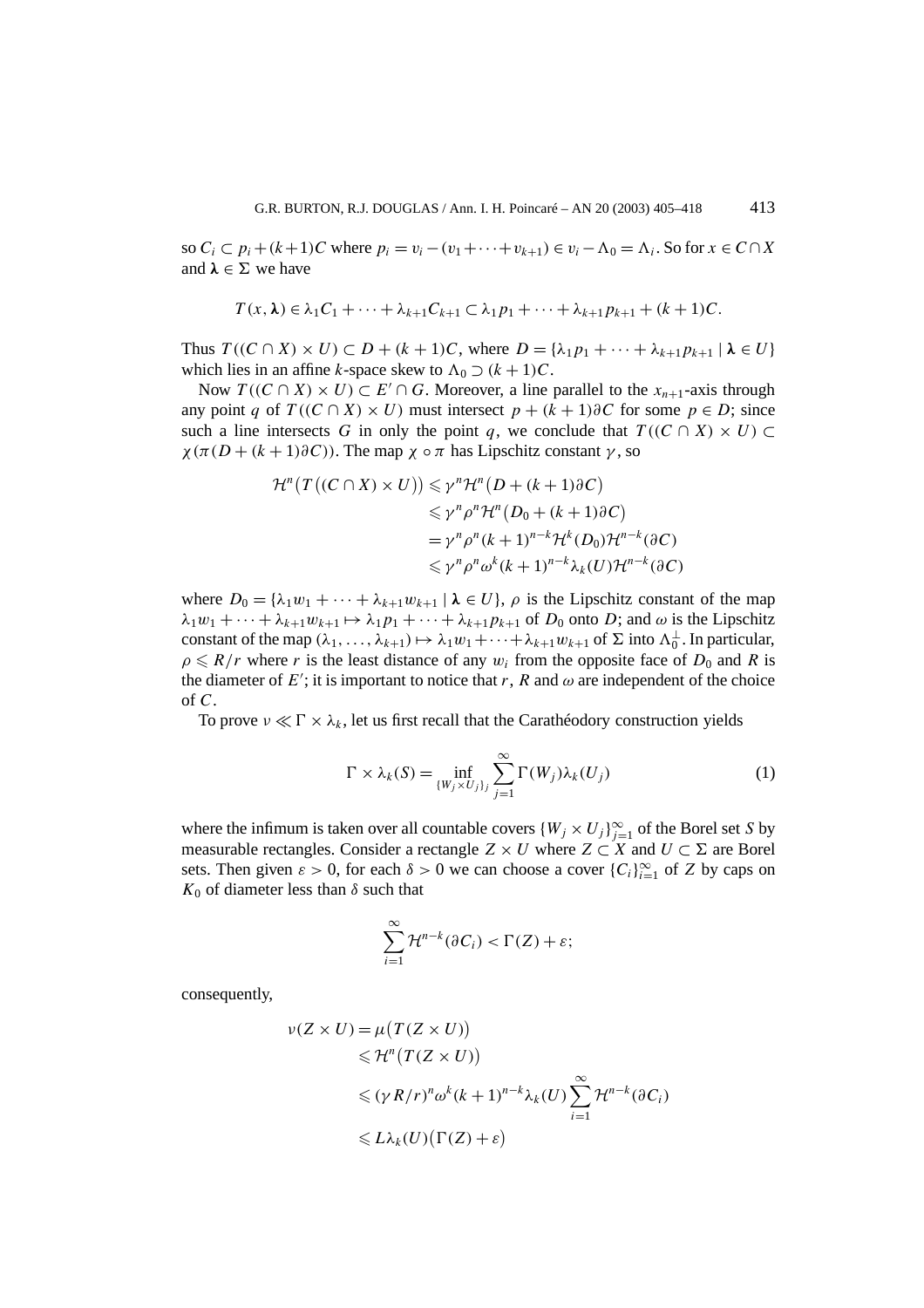so  $C_i \subset p_i + (k+1)C$  where  $p_i = v_i - (v_1 + \cdots + v_{k+1}) \in v_i - \Lambda_0 = \Lambda_i$ . So for  $x \in C \cap X$ and  $\lambda \in \Sigma$  we have

$$
T(x,\lambda) \in \lambda_1 C_1 + \cdots + \lambda_{k+1} C_{k+1} \subset \lambda_1 p_1 + \cdots + \lambda_{k+1} p_{k+1} + (k+1)C.
$$

Thus  $T((C \cap X) \times U) \subset D + (k+1)C$ , where  $D = {\lambda_1 p_1 + \cdots + \lambda_{k+1} p_{k+1} \mid \lambda \in U}$ which lies in an affine *k*-space skew to  $\Lambda_0 \supset (k+1)C$ .

Now  $T((C \cap X) \times U) \subset E' \cap G$ . Moreover, a line parallel to the  $x_{n+1}$ -axis through any point *q* of  $T((C \cap X) \times U)$  must intersect  $p + (k+1) \partial C$  for some  $p \in D$ ; since such a line intersects *G* in only the point *q*, we conclude that  $T((C \cap X) \times U) \subset$ *χ*( $\pi$ ( $D$  + ( $k$  + 1) $\partial$ C)). The map  $\chi \circ \pi$  has Lipschitz constant  $\gamma$ , so

$$
\mathcal{H}^{n}(T((C \cap X) \times U)) \leq \gamma^{n} \mathcal{H}^{n}(D + (k+1)\partial C)
$$
  
\n
$$
\leq \gamma^{n} \rho^{n} \mathcal{H}^{n}(D_{0} + (k+1)\partial C)
$$
  
\n
$$
= \gamma^{n} \rho^{n}(k+1)^{n-k} \mathcal{H}^{k}(D_{0}) \mathcal{H}^{n-k}(\partial C)
$$
  
\n
$$
\leq \gamma^{n} \rho^{n} \omega^{k}(k+1)^{n-k} \lambda_{k}(U) \mathcal{H}^{n-k}(\partial C)
$$

where  $D_0 = {\lambda_1 w_1 + \cdots + \lambda_{k+1} w_{k+1} \mid \lambda \in U}$ ,  $\rho$  is the Lipschitz constant of the map  $\lambda_1 w_1 + \cdots + \lambda_{k+1} w_{k+1} \mapsto \lambda_1 p_1 + \cdots + \lambda_{k+1} p_{k+1}$  of  $D_0$  onto *D*; and  $\omega$  is the Lipschitz constant of the map  $(\lambda_1, \ldots, \lambda_{k+1}) \mapsto \lambda_1 w_1 + \cdots + \lambda_{k+1} w_{k+1}$  of  $\Sigma$  into  $\Lambda_0^{\perp}$ . In particular,  $\rho \leq R/r$  where *r* is the least distance of any  $w_i$  from the opposite face of  $D_0$  and *R* is the diameter of  $E'$ ; it is important to notice that *r*, *R* and  $\omega$  are independent of the choice of *C*.

To prove  $\nu \ll \Gamma \times \lambda_k$ , let us first recall that the Carathéodory construction yields

$$
\Gamma \times \lambda_k(S) = \inf_{\{W_j \times U_j\}_j} \sum_{j=1}^{\infty} \Gamma(W_j) \lambda_k(U_j)
$$
 (1)

where the infimum is taken over all countable covers  $\{W_j \times U_j\}_{j=1}^{\infty}$  of the Borel set *S* by measurable rectangles. Consider a rectangle  $Z \times U$  where  $Z \subset X$  and  $U \subset \Sigma$  are Borel sets. Then given  $\varepsilon > 0$ , for each  $\delta > 0$  we can choose a cover  $\{C_i\}_{i=1}^{\infty}$  of *Z* by caps on  $K_0$  of diameter less than  $\delta$  such that

$$
\sum_{i=1}^{\infty} \mathcal{H}^{n-k}(\partial C_i) < \Gamma(Z) + \varepsilon;
$$

consequently,

$$
\nu(Z \times U) = \mu(T(Z \times U))
$$
  
\n
$$
\leq \mathcal{H}^n(T(Z \times U))
$$
  
\n
$$
\leq (\gamma R/r)^n \omega^k (k+1)^{n-k} \lambda_k(U) \sum_{i=1}^{\infty} \mathcal{H}^{n-k}(\partial C_i)
$$
  
\n
$$
\leq L \lambda_k(U) (\Gamma(Z) + \varepsilon)
$$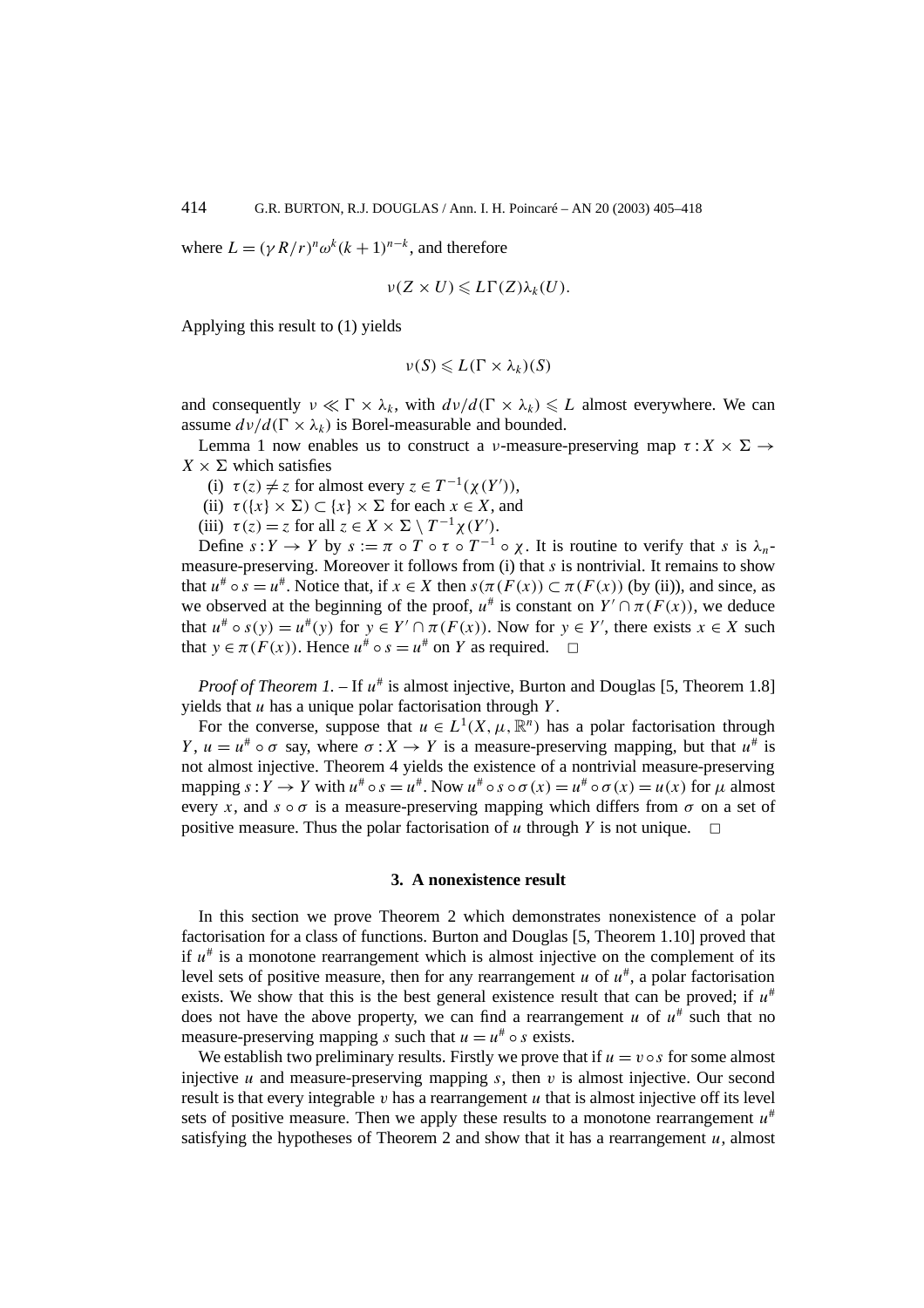where  $L = (\gamma R/r)^n \omega^k (k+1)^{n-k}$ , and therefore

$$
\nu(Z\times U)\leqslant L\Gamma(Z)\lambda_k(U).
$$

Applying this result to (1) yields

$$
\nu(S) \leqslant L(\Gamma \times \lambda_k)(S)
$$

and consequently  $\nu \ll \Gamma \times \lambda_k$ , with  $d\nu/d(\Gamma \times \lambda_k) \leq L$  almost everywhere. We can assume  $d\nu/d(\Gamma \times \lambda_k)$  is Borel-measurable and bounded.

Lemma 1 now enables us to construct a *ν*-measure-preserving map  $\tau : X \times \Sigma \rightarrow$  $X \times \Sigma$  which satisfies

- (i)  $\tau(z) \neq z$  for almost every  $z \in T^{-1}(\chi(Y'))$ ,
- (ii)  $\tau({x} \times \Sigma) \subset {x} \times \Sigma$  for each  $x \in X$ , and
- (iii)  $\tau(z) = z$  for all  $z \in X \times \Sigma \setminus T^{-1} \chi(Y')$ .

Define  $s: Y \to Y$  by  $s := \pi \circ T \circ \tau \circ T^{-1} \circ \chi$ . It is routine to verify that *s* is  $\lambda_n$ measure-preserving. Moreover it follows from (i) that *s* is nontrivial. It remains to show that  $u^{\#} \circ s = u^{\#}$ . Notice that, if  $x \in X$  then  $s(\pi(F(x)) \subset \pi(F(x))$  (by (ii)), and since, as we observed at the beginning of the proof,  $u^{\#}$  is constant on  $Y' \cap \pi(F(x))$ , we deduce that  $u^{\#} \circ s(y) = u^{\#}(y)$  for  $y \in Y' \cap \pi(F(x))$ . Now for  $y \in Y'$ , there exists  $x \in X$  such that  $y \in \pi(F(x))$ . Hence  $u^* \circ s = u^*$  on *Y* as required.  $\Box$ 

*Proof of Theorem 1.* – If  $u^{\#}$  is almost injective, Burton and Douglas [5, Theorem 1.8] yields that *u* has a unique polar factorisation through *Y* .

For the converse, suppose that  $u \in L^1(X, \mu, \mathbb{R}^n)$  has a polar factorisation through *Y*,  $u = u^* \circ \sigma$  say, where  $\sigma: X \to Y$  is a measure-preserving mapping, but that  $u^*$  is not almost injective. Theorem 4 yields the existence of a nontrivial measure-preserving mapping  $s: Y \to Y$  with  $u^* \circ s = u^*$ . Now  $u^* \circ s \circ \sigma(x) = u^* \circ \sigma(x) = u(x)$  for  $\mu$  almost every *x*, and  $s \circ \sigma$  is a measure-preserving mapping which differs from  $\sigma$  on a set of positive measure. Thus the polar factorisation of  $u$  through  $Y$  is not unique.

#### **3. A nonexistence result**

In this section we prove Theorem 2 which demonstrates nonexistence of a polar factorisation for a class of functions. Burton and Douglas [5, Theorem 1.10] proved that if  $u^*$  is a monotone rearrangement which is almost injective on the complement of its level sets of positive measure, then for any rearrangement *u* of  $u^*$ , a polar factorisation exists. We show that this is the best general existence result that can be proved; if  $u^*$ does not have the above property, we can find a rearrangement  $u$  of  $u^*$  such that no measure-preserving mapping *s* such that  $u = u^* \circ s$  exists.

We establish two preliminary results. Firstly we prove that if  $u = v \circ s$  for some almost injective  $u$  and measure-preserving mapping  $s$ , then  $v$  is almost injective. Our second result is that every integrable  $v$  has a rearrangement  $u$  that is almost injective off its level sets of positive measure. Then we apply these results to a monotone rearrangement  $u^*$ satisfying the hypotheses of Theorem 2 and show that it has a rearrangement  $u$ , almost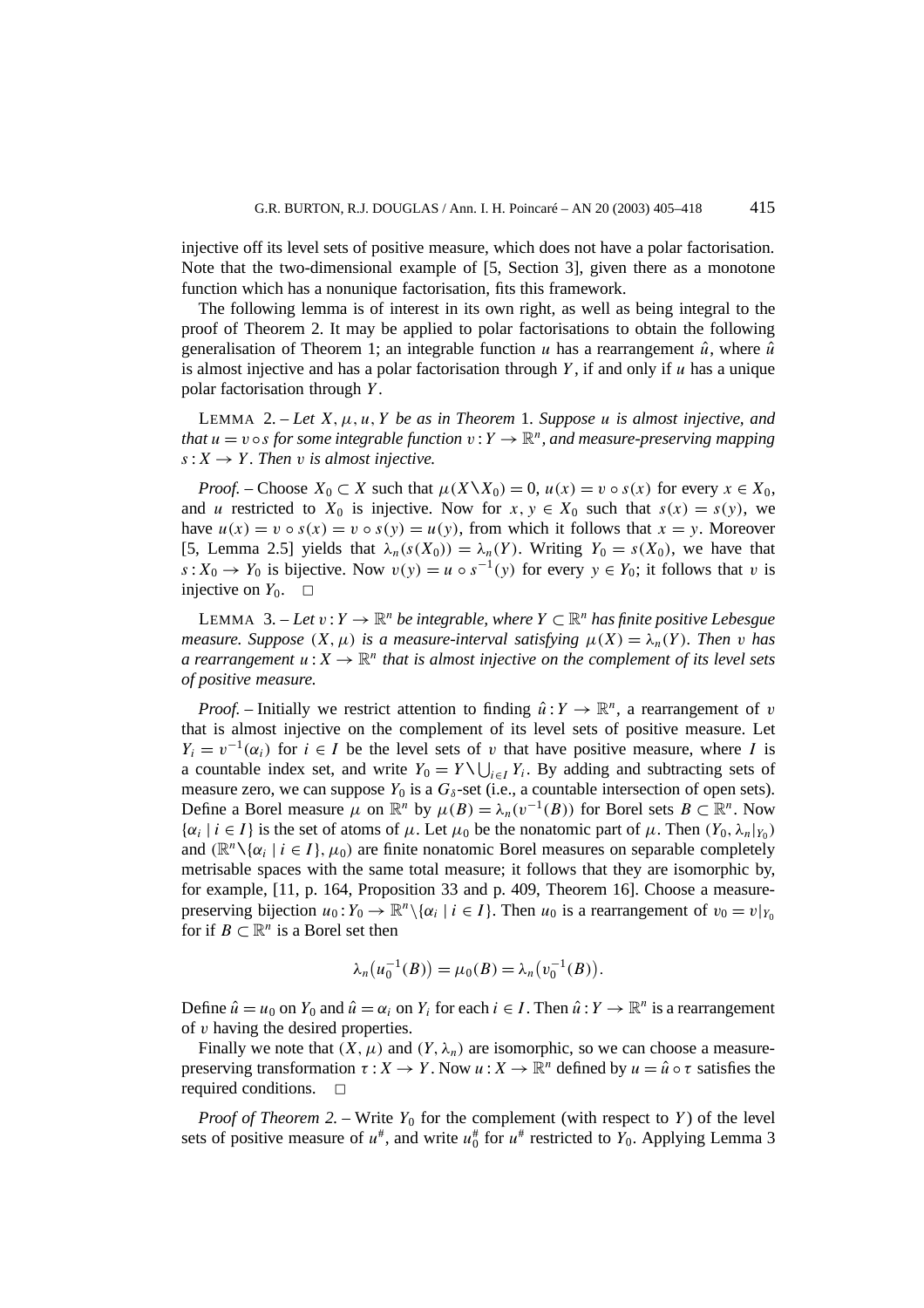injective off its level sets of positive measure, which does not have a polar factorisation. Note that the two-dimensional example of [5, Section 3], given there as a monotone function which has a nonunique factorisation, fits this framework.

The following lemma is of interest in its own right, as well as being integral to the proof of Theorem 2. It may be applied to polar factorisations to obtain the following generalisation of Theorem 1; an integrable function *u* has a rearrangement  $\hat{u}$ , where  $\hat{u}$ is almost injective and has a polar factorisation through  $Y$ , if and only if  $u$  has a unique polar factorisation through *Y* .

LEMMA 2. – *Let X, µ, u, Y be as in Theorem* 1*. Suppose u is almost injective, and that*  $u = v \circ s$  *for some integrable function*  $v: Y \to \mathbb{R}^n$ *, and measure-preserving mapping*  $s: X \rightarrow Y$ . Then *v* is almost injective.

*Proof.* – Choose  $X_0 \subset X$  such that  $\mu(X \setminus X_0) = 0$ ,  $\mu(x) = v \circ s(x)$  for every  $x \in X_0$ , and *u* restricted to  $X_0$  is injective. Now for  $x, y \in X_0$  such that  $s(x) = s(y)$ , we have  $u(x) = v \circ s(x) = v \circ s(y) = u(y)$ , from which it follows that  $x = y$ . Moreover [5, Lemma 2.5] yields that  $\lambda_n(s(X_0)) = \lambda_n(Y)$ . Writing  $Y_0 = s(X_0)$ , we have that *s*: *X*<sub>0</sub> → *Y*<sub>0</sub> is bijective. Now  $v(y) = u \circ s^{-1}(y)$  for every  $y \in Y_0$ ; it follows that *v* is injective on  $Y_0$ .  $\Box$ 

LEMMA 3. − *Let*  $v: Y \to \mathbb{R}^n$  *be integrable, where*  $Y \subset \mathbb{R}^n$  *has finite positive Lebesgue measure. Suppose*  $(X, \mu)$  *is a measure-interval satisfying*  $\mu(X) = \lambda_n(Y)$ *. Then v has a rearrangement*  $u: X \to \mathbb{R}^n$  *that is almost injective on the complement of its level sets of positive measure.*

*Proof.* – Initially we restrict attention to finding  $\hat{u}: Y \to \mathbb{R}^n$ , a rearrangement of *v* that is almost injective on the complement of its level sets of positive measure. Let  $Y_i = v^{-1}(\alpha_i)$  for  $i \in I$  be the level sets of *v* that have positive measure, where *I* is a countable index set, and write  $Y_0 = Y \setminus \bigcup_{i \in I} Y_i$ . By adding and subtracting sets of measure zero, we can suppose  $Y_0$  is a  $G_\delta$ -set (i.e., a countable intersection of open sets). Define a Borel measure  $\mu$  on  $\mathbb{R}^n$  by  $\mu(B) = \lambda_n(v^{-1}(B))$  for Borel sets  $B \subset \mathbb{R}^n$ . Now  $\{\alpha_i \mid i \in I\}$  is the set of atoms of  $\mu$ . Let  $\mu_0$  be the nonatomic part of  $\mu$ . Then  $(Y_0, \lambda_n | Y_0)$ and  $(\mathbb{R}^n \setminus \{\alpha_i \mid i \in I\}, \mu_0)$  are finite nonatomic Borel measures on separable completely metrisable spaces with the same total measure; it follows that they are isomorphic by, for example, [11, p. 164, Proposition 33 and p. 409, Theorem 16]. Choose a measurepreserving bijection  $u_0: Y_0 \to \mathbb{R}^n \setminus \{ \alpha_i \mid i \in I \}$ . Then  $u_0$  is a rearrangement of  $v_0 = v|_{Y_0}$ for if  $B \subset \mathbb{R}^n$  is a Borel set then

$$
\lambda_n(u_0^{-1}(B)) = \mu_0(B) = \lambda_n(v_0^{-1}(B)).
$$

Define  $\hat{u} = u_0$  on  $Y_0$  and  $\hat{u} = \alpha_i$  on  $Y_i$  for each  $i \in I$ . Then  $\hat{u}: Y \to \mathbb{R}^n$  is a rearrangement of *v* having the desired properties.

Finally we note that  $(X, \mu)$  and  $(Y, \lambda_n)$  are isomorphic, so we can choose a measurepreserving transformation  $\tau : X \to Y$ . Now  $u : X \to \mathbb{R}^n$  defined by  $u = \hat{u} \circ \tau$  satisfies the required conditions.  $\Box$ 

*Proof of Theorem 2.* – Write  $Y_0$  for the complement (with respect to *Y*) of the level sets of positive measure of  $u^*$ , and write  $u_0^*$  for  $u^*$  restricted to  $Y_0$ . Applying Lemma 3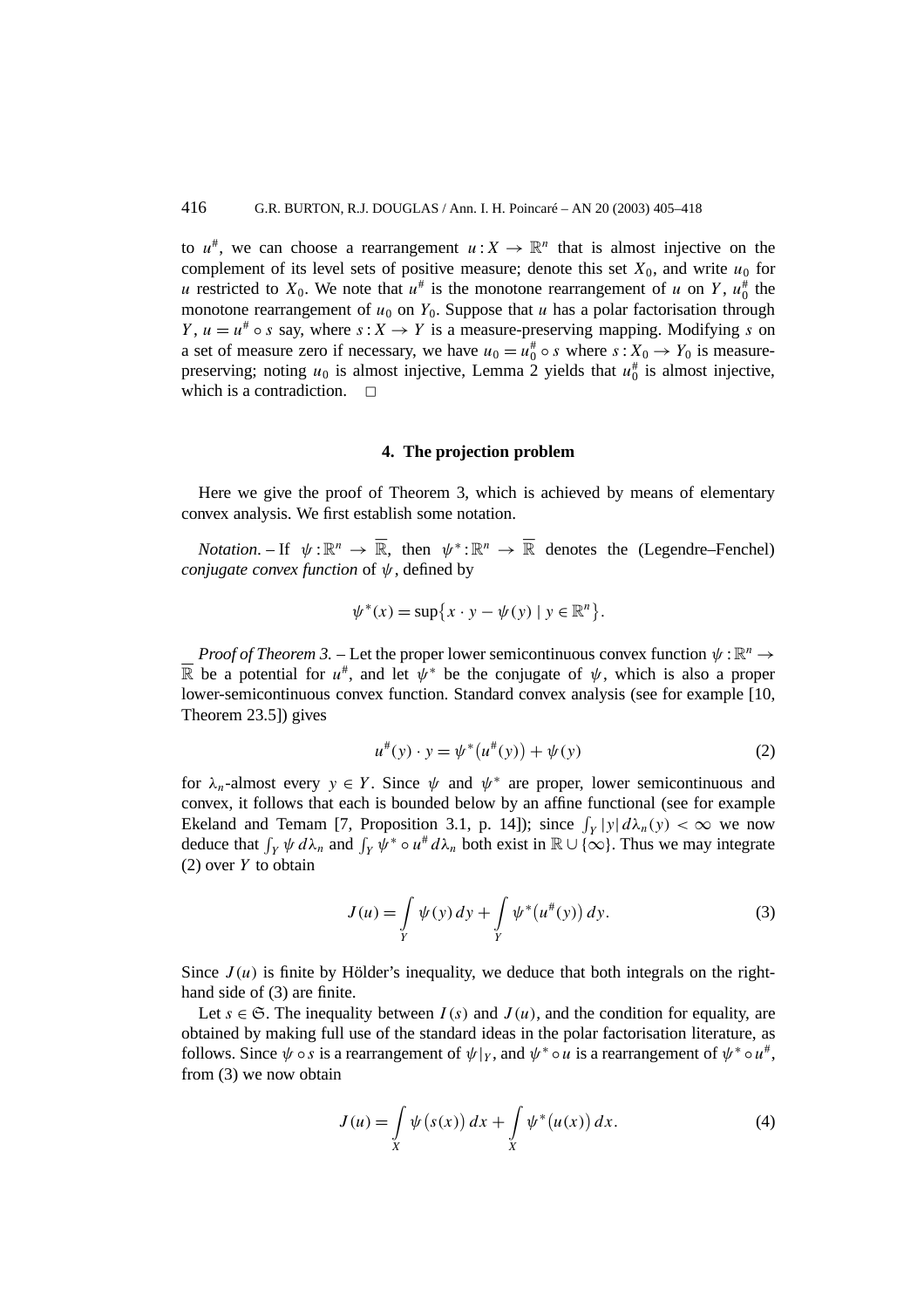to  $u^*$ , we can choose a rearrangement  $u: X \to \mathbb{R}^n$  that is almost injective on the complement of its level sets of positive measure; denote this set  $X_0$ , and write  $u_0$  for *u* restricted to  $X_0$ . We note that  $u^*$  is the monotone rearrangement of *u* on *Y*,  $u_0^*$  the monotone rearrangement of  $u_0$  on  $Y_0$ . Suppose that *u* has a polar factorisation through *Y*,  $u = u^* \circ s$  say, where  $s: X \to Y$  is a measure-preserving mapping. Modifying *s* on a set of measure zero if necessary, we have  $u_0 = u_0^* \circ s$  where  $s: X_0 \to Y_0$  is measurepreserving; noting  $u_0$  is almost injective, Lemma 2 yields that  $u_0^{\#}$  is almost injective, which is a contradiction.

### **4. The projection problem**

Here we give the proof of Theorem 3, which is achieved by means of elementary convex analysis. We first establish some notation.

*Notation*. – If  $\psi : \mathbb{R}^n \to \overline{\mathbb{R}}$ , then  $\psi^* : \mathbb{R}^n \to \overline{\mathbb{R}}$  denotes the (Legendre–Fenchel) *conjugate convex function* of *ψ*, defined by

$$
\psi^*(x) = \sup\{x \cdot y - \psi(y) \mid y \in \mathbb{R}^n\}.
$$

*Proof of Theorem 3.* – Let the proper lower semicontinuous convex function  $\psi : \mathbb{R}^n \to \mathbb{R}$  be a potential for  $u^*$ , and let  $\psi^*$  be the conjugate of  $\psi$ , which is also a proper lower-semicontinuous convex function. Standard convex analysis (see for example [10, Theorem 23.5]) gives

$$
u^{\#}(y) \cdot y = \psi^*(u^{\#}(y)) + \psi(y)
$$
 (2)

for  $\lambda_n$ -almost every  $y \in Y$ . Since  $\psi$  and  $\psi^*$  are proper, lower semicontinuous and convex, it follows that each is bounded below by an affine functional (see for example Ekeland and Temam [7, Proposition 3.1, p. 14]); since  $\int_Y |y| d\lambda_n(y) < \infty$  we now deduce that  $\int_Y \psi \, d\lambda_n$  and  $\int_Y \psi^* \circ u^* \, d\lambda_n$  both exist in  $\mathbb{R} \cup \{\infty\}$ . Thus we may integrate (2) over *Y* to obtain

$$
J(u) = \int\limits_{Y} \psi(y) \, dy + \int\limits_{Y} \psi^*(u^{\#}(y)) \, dy. \tag{3}
$$

Since  $J(u)$  is finite by Hölder's inequality, we deduce that both integrals on the righthand side of (3) are finite.

Let  $s \in \mathfrak{S}$ . The inequality between  $I(s)$  and  $J(u)$ , and the condition for equality, are obtained by making full use of the standard ideas in the polar factorisation literature, as follows. Since  $\psi \circ s$  is a rearrangement of  $\psi|_Y$ , and  $\psi^* \circ u$  is a rearrangement of  $\psi^* \circ u^*$ , from (3) we now obtain

$$
J(u) = \int\limits_X \psi(s(x)) \, dx + \int\limits_X \psi^*(u(x)) \, dx. \tag{4}
$$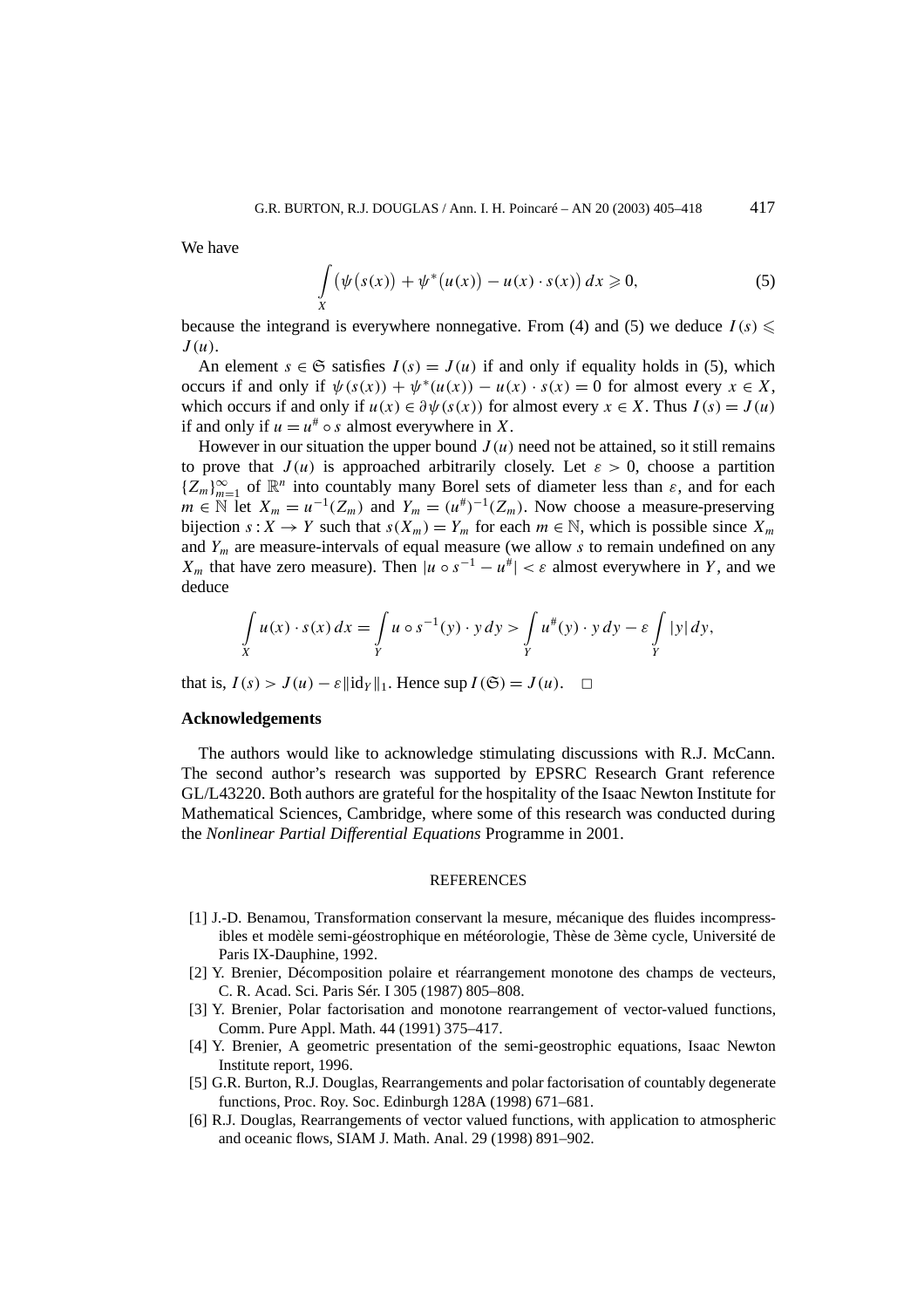We have

$$
\int\limits_X \left( \psi\big(s(x)\big) + \psi^*\big(u(x)\big) - u(x) \cdot s(x) \right) dx \geqslant 0,
$$
\n(5)

because the integrand is everywhere nonnegative. From (4) and (5) we deduce  $I(s) \leq$ *J (u)*.

An element  $s \in \mathfrak{S}$  satisfies  $I(s) = J(u)$  if and only if equality holds in (5), which occurs if and only if  $\psi(s(x)) + \psi^*(u(x)) - u(x) \cdot s(x) = 0$  for almost every  $x \in X$ , which occurs if and only if  $u(x) \in \partial \psi(s(x))$  for almost every  $x \in X$ . Thus  $I(s) = J(u)$ if and only if  $u = u^* \circ s$  almost everywhere in X.

However in our situation the upper bound  $J(u)$  need not be attained, so it still remains to prove that  $J(u)$  is approached arbitrarily closely. Let  $\varepsilon > 0$ , choose a partition  ${Z_m}_{m=1}^{\infty}$  of  $\mathbb{R}^n$  into countably many Borel sets of diameter less than  $\varepsilon$ , and for each  $m \in \mathbb{N}$  let  $X_m = u^{-1}(Z_m)$  and  $Y_m = (u^*)^{-1}(Z_m)$ . Now choose a measure-preserving bijection  $s: X \to Y$  such that  $s(X_m) = Y_m$  for each  $m \in \mathbb{N}$ , which is possible since  $X_m$ and *Ym* are measure-intervals of equal measure (we allow *s* to remain undefined on any *X<sub>m</sub>* that have zero measure). Then  $|u \circ s^{-1} - u^*| < \varepsilon$  almost everywhere in *Y*, and we deduce

$$
\int\limits_X u(x) \cdot s(x) \, dx = \int\limits_Y u \circ s^{-1}(y) \cdot y \, dy > \int\limits_Y u^*(y) \cdot y \, dy - \varepsilon \int\limits_Y |y| \, dy,
$$

that is,  $I(s) > J(u) - \varepsilon ||\mathrm{id}_Y||_1$ . Hence sup  $I(\mathfrak{S}) = J(u)$ .  $\Box$ 

#### **Acknowledgements**

The authors would like to acknowledge stimulating discussions with R.J. McCann. The second author's research was supported by EPSRC Research Grant reference GL/L43220. Both authors are grateful for the hospitality of the Isaac Newton Institute for Mathematical Sciences, Cambridge, where some of this research was conducted during the *Nonlinear Partial Differential Equations* Programme in 2001.

#### **REFERENCES**

- [1] J.-D. Benamou, Transformation conservant la mesure, mécanique des fluides incompressibles et modèle semi-géostrophique en météorologie, Thèse de 3ème cycle, Université de Paris IX-Dauphine, 1992.
- [2] Y. Brenier, Décomposition polaire et réarrangement monotone des champs de vecteurs, C. R. Acad. Sci. Paris Sér. I 305 (1987) 805–808.
- [3] Y. Brenier, Polar factorisation and monotone rearrangement of vector-valued functions, Comm. Pure Appl. Math. 44 (1991) 375–417.
- [4] Y. Brenier, A geometric presentation of the semi-geostrophic equations, Isaac Newton Institute report, 1996.
- [5] G.R. Burton, R.J. Douglas, Rearrangements and polar factorisation of countably degenerate functions, Proc. Roy. Soc. Edinburgh 128A (1998) 671–681.
- [6] R.J. Douglas, Rearrangements of vector valued functions, with application to atmospheric and oceanic flows, SIAM J. Math. Anal. 29 (1998) 891–902.